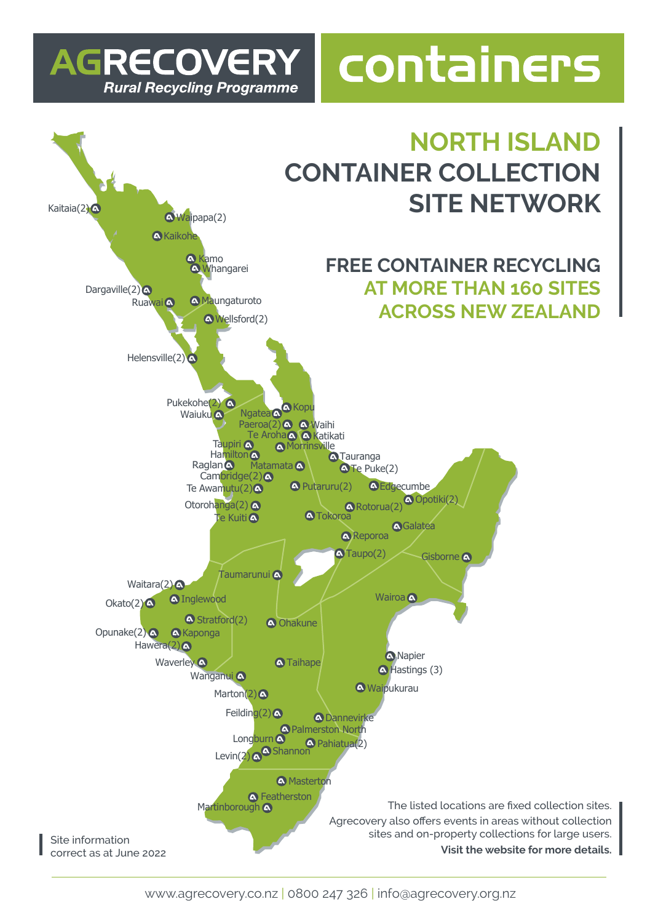## **AGRECOVERY Rural Recycling Programme**

## containers

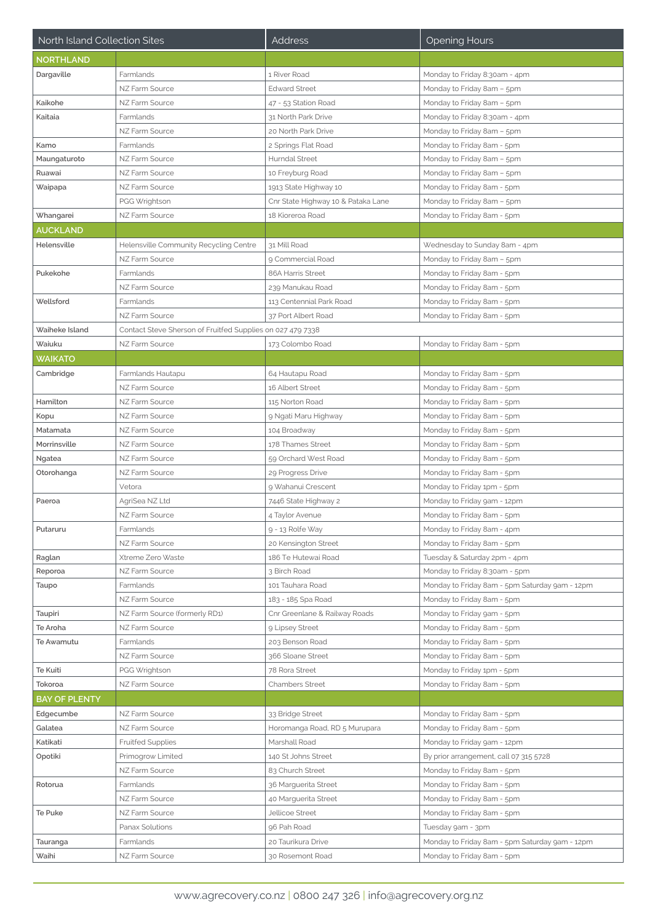| North Island Collection Sites |                                                            | <b>Address</b>                     | Opening Hours                                                                |
|-------------------------------|------------------------------------------------------------|------------------------------------|------------------------------------------------------------------------------|
| <b>NORTHLAND</b>              |                                                            |                                    |                                                                              |
| Dargaville                    | Farmlands                                                  | 1 River Road                       | Monday to Friday 8:30am - 4pm                                                |
|                               | NZ Farm Source                                             | <b>Edward Street</b>               | Monday to Friday 8am - 5pm                                                   |
| Kaikohe                       | NZ Farm Source                                             | 47 - 53 Station Road               | Monday to Friday 8am - 5pm                                                   |
| Kaitaia                       | Farmlands                                                  | 31 North Park Drive                | Monday to Friday 8:30am - 4pm                                                |
|                               | NZ Farm Source                                             | 20 North Park Drive                | Monday to Friday 8am - 5pm                                                   |
| Kamo                          | Farmlands                                                  | 2 Springs Flat Road                | Monday to Friday 8am - 5pm                                                   |
| Maungaturoto                  | NZ Farm Source                                             | Hurndal Street                     | Monday to Friday 8am - 5pm                                                   |
| Ruawai                        | NZ Farm Source                                             | 10 Freyburg Road                   | Monday to Friday 8am - 5pm                                                   |
| Waipapa                       | NZ Farm Source                                             | 1913 State Highway 10              | Monday to Friday 8am - 5pm                                                   |
|                               | PGG Wrightson                                              | Cnr State Highway 10 & Pataka Lane | Monday to Friday 8am - 5pm                                                   |
| Whangarei                     | NZ Farm Source                                             | 18 Kioreroa Road                   | Monday to Friday 8am - 5pm                                                   |
| <b>AUCKLAND</b>               |                                                            |                                    |                                                                              |
| Helensville                   | Helensville Community Recycling Centre                     | 31 Mill Road                       | Wednesday to Sunday 8am - 4pm                                                |
|                               | NZ Farm Source                                             | 9 Commercial Road                  | Monday to Friday 8am - 5pm                                                   |
| Pukekohe                      | Farmlands                                                  | 86A Harris Street                  | Monday to Friday 8am - 5pm                                                   |
|                               | NZ Farm Source                                             | 239 Manukau Road                   | Monday to Friday 8am - 5pm                                                   |
| Wellsford                     | Farmlands                                                  | 113 Centennial Park Road           | Monday to Friday 8am - 5pm                                                   |
|                               | NZ Farm Source                                             | 37 Port Albert Road                | Monday to Friday 8am - 5pm                                                   |
| Waiheke Island                | Contact Steve Sherson of Fruitfed Supplies on 027 479 7338 |                                    |                                                                              |
| Waiuku                        | NZ Farm Source                                             | 173 Colombo Road                   | Monday to Friday 8am - 5pm                                                   |
| <b>WAIKATO</b>                |                                                            |                                    |                                                                              |
| Cambridge                     | Farmlands Hautapu                                          | 64 Hautapu Road                    | Monday to Friday 8am - 5pm                                                   |
|                               | NZ Farm Source                                             | 16 Albert Street                   | Monday to Friday 8am - 5pm                                                   |
| Hamilton                      | NZ Farm Source                                             | 115 Norton Road                    | Monday to Friday 8am - 5pm                                                   |
| Kopu                          | NZ Farm Source                                             | 9 Ngati Maru Highway               | Monday to Friday 8am - 5pm                                                   |
| Matamata                      | NZ Farm Source                                             | 104 Broadway                       | Monday to Friday 8am - 5pm                                                   |
| Morrinsville                  | NZ Farm Source                                             | 178 Thames Street                  | Monday to Friday 8am - 5pm                                                   |
| Ngatea                        | NZ Farm Source                                             | 59 Orchard West Road               | Monday to Friday 8am - 5pm                                                   |
| Otorohanga                    | NZ Farm Source                                             | 29 Progress Drive                  | Monday to Friday 8am - 5pm                                                   |
|                               | Vetora                                                     | 9 Wahanui Crescent                 | Monday to Friday 1pm - 5pm                                                   |
| Paeroa                        | AgriSea NZ Ltd                                             | 7446 State Highway 2               | Monday to Friday 9am - 12pm                                                  |
|                               | NZ Farm Source                                             | 4 Taylor Avenue                    | Monday to Friday 8am - 5pm                                                   |
| Putaruru                      | Farmlands                                                  | 9 - 13 Rolfe Way                   | Monday to Friday 8am - 4pm                                                   |
|                               | NZ Farm Source                                             | 20 Kensington Street               | Monday to Friday 8am - 5pm                                                   |
| Raglan                        | Xtreme Zero Waste                                          | 186 Te Hutewai Road                | Tuesday & Saturday 2pm - 4pm                                                 |
| Reporoa                       | NZ Farm Source                                             | 3 Birch Road                       | Monday to Friday 8:30am - 5pm                                                |
| Taupo                         | Farmlands                                                  | 101 Tauhara Road                   | Monday to Friday 8am - 5pm Saturday 9am - 12pm                               |
|                               | NZ Farm Source                                             | 183 - 185 Spa Road                 | Monday to Friday 8am - 5pm                                                   |
| Taupiri                       | NZ Farm Source (formerly RD1)                              | Cnr Greenlane & Railway Roads      | Monday to Friday 9am - 5pm                                                   |
| Te Aroha                      | NZ Farm Source                                             | 9 Lipsey Street                    | Monday to Friday 8am - 5pm                                                   |
| Te Awamutu                    | Farmlands                                                  | 203 Benson Road                    | Monday to Friday 8am - 5pm                                                   |
|                               | NZ Farm Source                                             | 366 Sloane Street                  | Monday to Friday 8am - 5pm                                                   |
| Te Kuiti                      | PGG Wrightson                                              | 78 Rora Street                     | Monday to Friday 1pm - 5pm                                                   |
| Tokoroa                       | NZ Farm Source                                             | Chambers Street                    | Monday to Friday 8am - 5pm                                                   |
| BAY OF PLENTY                 |                                                            |                                    |                                                                              |
| Edgecumbe                     | NZ Farm Source                                             | 33 Bridge Street                   | Monday to Friday 8am - 5pm                                                   |
| Galatea                       | NZ Farm Source                                             | Horomanga Road, RD 5 Murupara      | Monday to Friday 8am - 5pm                                                   |
| Katikati                      | <b>Fruitfed Supplies</b>                                   | Marshall Road                      | Monday to Friday 9am - 12pm                                                  |
| Opotiki                       | Primogrow Limited                                          | 140 St Johns Street                | By prior arrangement, call 07 315 5728                                       |
|                               | NZ Farm Source                                             | 83 Church Street                   | Monday to Friday 8am - 5pm                                                   |
| Rotorua                       | Farmlands                                                  | 36 Marguerita Street               | Monday to Friday 8am - 5pm                                                   |
|                               | NZ Farm Source                                             | 40 Marguerita Street               | Monday to Friday 8am - 5pm                                                   |
| Te Puke                       | NZ Farm Source                                             | Jellicoe Street                    | Monday to Friday 8am - 5pm                                                   |
|                               | Panax Solutions                                            | 96 Pah Road                        | Tuesday 9am - 3pm                                                            |
|                               | Farmlands                                                  | 20 Taurikura Drive                 |                                                                              |
| Tauranga<br>Waihi             | NZ Farm Source                                             | 30 Rosemont Road                   | Monday to Friday 8am - 5pm Saturday 9am - 12pm<br>Monday to Friday 8am - 5pm |
|                               |                                                            |                                    |                                                                              |